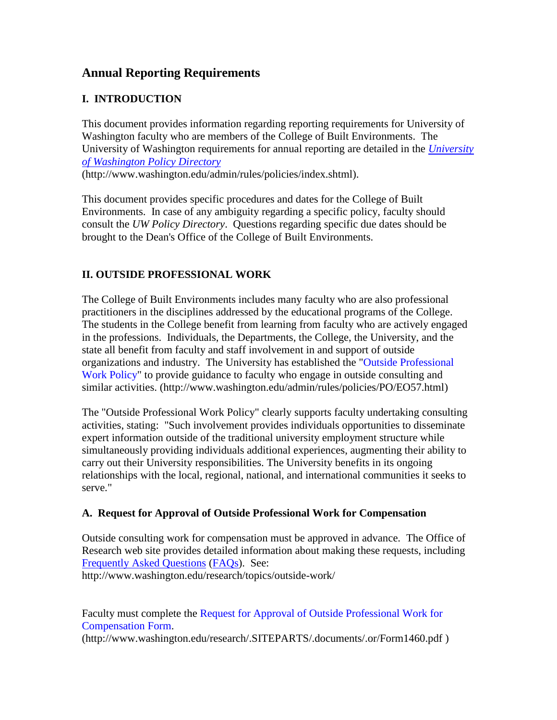# **Annual Reporting Requirements**

# **I. INTRODUCTION**

This document provides information regarding reporting requirements for University of Washington faculty who are members of the College of Built Environments. The University of Washington requirements for annual reporting are detailed in the *[University](http://www.washington.edu/admin/rules/policies/index.shtml)  [of Washington Policy Directory](http://www.washington.edu/admin/rules/policies/index.shtml)*

(http://www.washington.edu/admin/rules/policies/index.shtml).

This document provides specific procedures and dates for the College of Built Environments. In case of any ambiguity regarding a specific policy, faculty should consult the *UW Policy Directory*. Questions regarding specific due dates should be brought to the Dean's Office of the College of Built Environments.

## **II. OUTSIDE PROFESSIONAL WORK**

The College of Built Environments includes many faculty who are also professional practitioners in the disciplines addressed by the educational programs of the College. The students in the College benefit from learning from faculty who are actively engaged in the professions. Individuals, the Departments, the College, the University, and the state all benefit from faculty and staff involvement in and support of outside organizations and industry. The University has established the ["Outside Professional](http://www.washington.edu/admin/rules/policies/PO/EO57.html)  [Work Policy"](http://www.washington.edu/admin/rules/policies/PO/EO57.html) to provide guidance to faculty who engage in outside consulting and similar activities. (http://www.washington.edu/admin/rules/policies/PO/EO57.html)

The "Outside Professional Work Policy" clearly supports faculty undertaking consulting activities, stating: "Such involvement provides individuals opportunities to disseminate expert information outside of the traditional university employment structure while simultaneously providing individuals additional experiences, augmenting their ability to carry out their University responsibilities. The University benefits in its ongoing relationships with the local, regional, national, and international communities it seeks to serve."

### **A. Request for Approval of Outside Professional Work for Compensation**

Outside consulting work for compensation must be approved in advance. The Office of Research web site provides detailed information about making these requests, including [Frequently Asked Questions](http://www.washington.edu/research/topics/outside-work/) [\(FAQs\)](http://www.washington.edu/research/topics/outside-work/). See: http://www.washington.edu/research/topics/outside-work/

Faculty must complete the [Request for Approval of Outside Professional Work for](http://www.washington.edu/research/.SITEPARTS/.documents/.or/Form1460.pdf)  [Compensation Form.](http://www.washington.edu/research/.SITEPARTS/.documents/.or/Form1460.pdf)

(http://www.washington.edu/research/.SITEPARTS/.documents/.or/Form1460.pdf )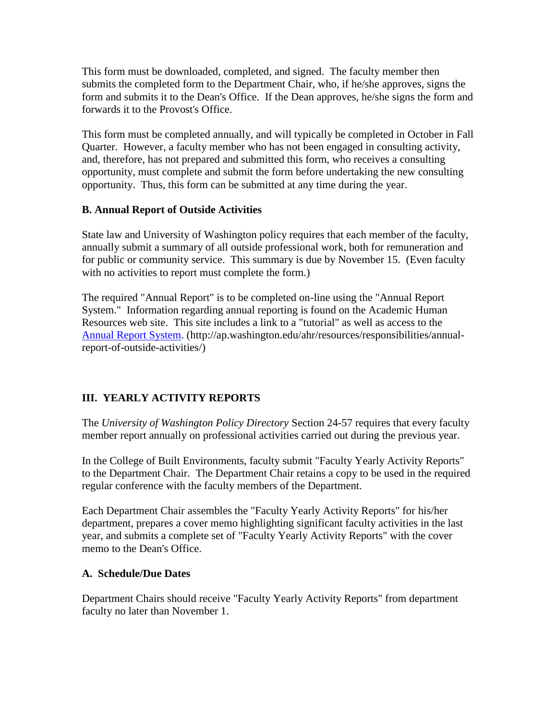This form must be downloaded, completed, and signed. The faculty member then submits the completed form to the Department Chair, who, if he/she approves, signs the form and submits it to the Dean's Office. If the Dean approves, he/she signs the form and forwards it to the Provost's Office.

This form must be completed annually, and will typically be completed in October in Fall Quarter. However, a faculty member who has not been engaged in consulting activity, and, therefore, has not prepared and submitted this form, who receives a consulting opportunity, must complete and submit the form before undertaking the new consulting opportunity. Thus, this form can be submitted at any time during the year.

### **B. Annual Report of Outside Activities**

State law and University of Washington policy requires that each member of the faculty, annually submit a summary of all outside professional work, both for remuneration and for public or community service. This summary is due by November 15. (Even faculty with no activities to report must complete the form.)

The required "Annual Report" is to be completed on-line using the "Annual Report System." Information regarding annual reporting is found on the Academic Human Resources web site. This site includes a link to a "tutorial" as well as access to the [Annual Report System.](http://ap.washington.edu/ahr/resources/responsibilities/annual-report-of-outside-activities/) (http://ap.washington.edu/ahr/resources/responsibilities/annualreport-of-outside-activities/)

### **III. YEARLY ACTIVITY REPORTS**

The *University of Washington Policy Directory* Section 24-57 requires that every faculty member report annually on professional activities carried out during the previous year.

In the College of Built Environments, faculty submit "Faculty Yearly Activity Reports" to the Department Chair. The Department Chair retains a copy to be used in the required regular conference with the faculty members of the Department.

Each Department Chair assembles the "Faculty Yearly Activity Reports" for his/her department, prepares a cover memo highlighting significant faculty activities in the last year, and submits a complete set of "Faculty Yearly Activity Reports" with the cover memo to the Dean's Office.

#### **A. Schedule/Due Dates**

Department Chairs should receive "Faculty Yearly Activity Reports" from department faculty no later than November 1.